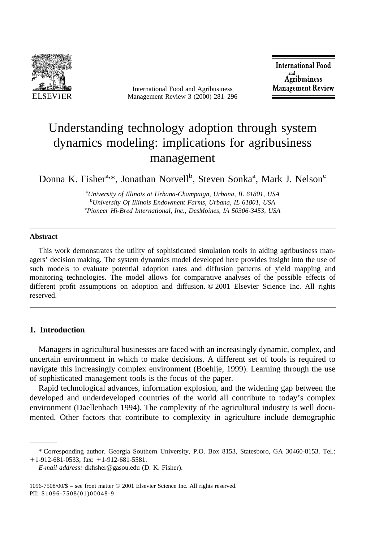

International Food and Agribusiness Management Review 3 (2000) 281–296

**International Food** Agribusiness **Management Review** 

# Understanding technology adoption through system dynamics modeling: implications for agribusiness management

Donna K. Fisher<sup>a,\*</sup>, Jonathan Norvell<sup>b</sup>, Steven Sonka<sup>a</sup>, Mark J. Nelson<sup>c</sup>

a *University of Illinois at Urbana-Champaign, Urbana, IL 61801, USA* <sup>b</sup> University Of Illinois Endowment Farms, Urbana, IL 61801, USA<br><sup>e</sup> Pioneer Hi Bred International Inc. DesMoines, IA 50306-3453, USA *Pioneer Hi-Bred International, Inc., DesMoines, IA 50306-3453, USA*

## **Abstract**

This work demonstrates the utility of sophisticated simulation tools in aiding agribusiness managers' decision making. The system dynamics model developed here provides insight into the use of such models to evaluate potential adoption rates and diffusion patterns of yield mapping and monitoring technologies. The model allows for comparative analyses of the possible effects of different profit assumptions on adoption and diffusion. © 2001 Elsevier Science Inc. All rights reserved.

## **1. Introduction**

Managers in agricultural businesses are faced with an increasingly dynamic, complex, and uncertain environment in which to make decisions. A different set of tools is required to navigate this increasingly complex environment (Boehlje, 1999). Learning through the use of sophisticated management tools is the focus of the paper.

Rapid technological advances, information explosion, and the widening gap between the developed and underdeveloped countries of the world all contribute to today's complex environment (Daellenbach 1994). The complexity of the agricultural industry is well documented. Other factors that contribute to complexity in agriculture include demographic

<sup>\*</sup> Corresponding author. Georgia Southern University, P.O. Box 8153, Statesboro, GA 30460-8153. Tel.:  $+1-912-681-0533$ ; fax:  $+1-912-681-5581$ .

*E-mail address:* dkfisher@gasou.edu (D. K. Fisher).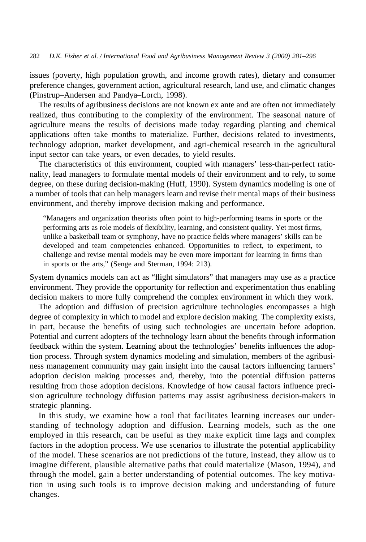issues (poverty, high population growth, and income growth rates), dietary and consumer preference changes, government action, agricultural research, land use, and climatic changes (Pinstrup–Andersen and Pandya–Lorch, 1998).

The results of agribusiness decisions are not known ex ante and are often not immediately realized, thus contributing to the complexity of the environment. The seasonal nature of agriculture means the results of decisions made today regarding planting and chemical applications often take months to materialize. Further, decisions related to investments, technology adoption, market development, and agri-chemical research in the agricultural input sector can take years, or even decades, to yield results.

The characteristics of this environment, coupled with managers' less-than-perfect rationality, lead managers to formulate mental models of their environment and to rely, to some degree, on these during decision-making (Huff, 1990). System dynamics modeling is one of a number of tools that can help managers learn and revise their mental maps of their business environment, and thereby improve decision making and performance.

"Managers and organization theorists often point to high-performing teams in sports or the performing arts as role models of flexibility, learning, and consistent quality. Yet most firms, unlike a basketball team or symphony, have no practice fields where managers' skills can be developed and team competencies enhanced. Opportunities to reflect, to experiment, to challenge and revise mental models may be even more important for learning in firms than in sports or the arts," (Senge and Sterman, 1994: 213).

System dynamics models can act as "flight simulators" that managers may use as a practice environment. They provide the opportunity for reflection and experimentation thus enabling decision makers to more fully comprehend the complex environment in which they work.

The adoption and diffusion of precision agriculture technologies encompasses a high degree of complexity in which to model and explore decision making. The complexity exists, in part, because the benefits of using such technologies are uncertain before adoption. Potential and current adopters of the technology learn about the benefits through information feedback within the system. Learning about the technologies' benefits influences the adoption process. Through system dynamics modeling and simulation, members of the agribusiness management community may gain insight into the causal factors influencing farmers' adoption decision making processes and, thereby, into the potential diffusion patterns resulting from those adoption decisions. Knowledge of how causal factors influence precision agriculture technology diffusion patterns may assist agribusiness decision-makers in strategic planning.

In this study, we examine how a tool that facilitates learning increases our understanding of technology adoption and diffusion. Learning models, such as the one employed in this research, can be useful as they make explicit time lags and complex factors in the adoption process. We use scenarios to illustrate the potential applicability of the model. These scenarios are not predictions of the future, instead, they allow us to imagine different, plausible alternative paths that could materialize (Mason, 1994), and through the model, gain a better understanding of potential outcomes. The key motivation in using such tools is to improve decision making and understanding of future changes.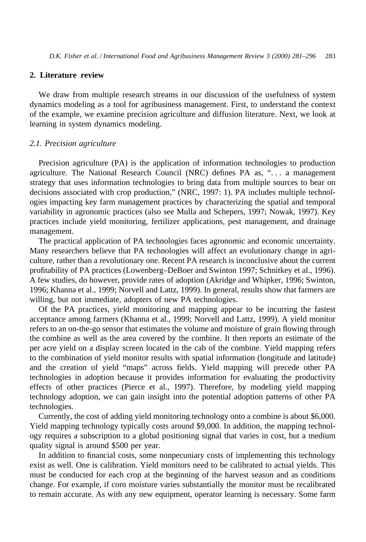### **2. Literature review**

We draw from multiple research streams in our discussion of the usefulness of system dynamics modeling as a tool for agribusiness management. First, to understand the context of the example, we examine precision agriculture and diffusion literature. Next, we look at learning in system dynamics modeling.

### *2.1. Precision agriculture*

Precision agriculture (PA) is the application of information technologies to production agriculture. The National Research Council (NRC) defines PA as, ". . . a management strategy that uses information technologies to bring data from multiple sources to bear on decisions associated with crop production," (NRC, 1997: 1). PA includes multiple technologies impacting key farm management practices by characterizing the spatial and temporal variability in agronomic practices (also see Mulla and Schepers, 1997; Nowak, 1997). Key practices include yield monitoring, fertilizer applications, pest management, and drainage management.

The practical application of PA technologies faces agronomic and economic uncertainty. Many researchers believe that PA technologies will affect an evolutionary change in agriculture, rather than a revolutionary one. Recent PA research is inconclusive about the current profitability of PA practices (Lowenberg–DeBoer and Swinton 1997; Schnitkey et al., 1996). A few studies, do however, provide rates of adoption (Akridge and Whipker, 1996; Swinton, 1996; Khanna et al., 1999; Norvell and Lattz, 1999). In general, results show that farmers are willing, but not immediate, adopters of new PA technologies.

Of the PA practices, yield monitoring and mapping appear to be incurring the fastest acceptance among farmers (Khanna et al., 1999; Norvell and Lattz, 1999). A yield monitor refers to an on-the-go sensor that estimates the volume and moisture of grain flowing through the combine as well as the area covered by the combine. It then reports an estimate of the per acre yield on a display screen located in the cab of the combine. Yield mapping refers to the combination of yield monitor results with spatial information (longitude and latitude) and the creation of yield "maps" across fields. Yield mapping will precede other PA technologies in adoption because it provides information for evaluating the productivity effects of other practices (Pierce et al., 1997). Therefore, by modeling yield mapping technology adoption, we can gain insight into the potential adoption patterns of other PA technologies.

Currently, the cost of adding yield monitoring technology onto a combine is about \$6,000. Yield mapping technology typically costs around \$9,000. In addition, the mapping technology requires a subscription to a global positioning signal that varies in cost, but a medium quality signal is around \$500 per year.

In addition to financial costs, some nonpecuniary costs of implementing this technology exist as well. One is calibration. Yield monitors need to be calibrated to actual yields. This must be conducted for each crop at the beginning of the harvest season and as conditions change. For example, if corn moisture varies substantially the monitor must be recalibrated to remain accurate. As with any new equipment, operator learning is necessary. Some farm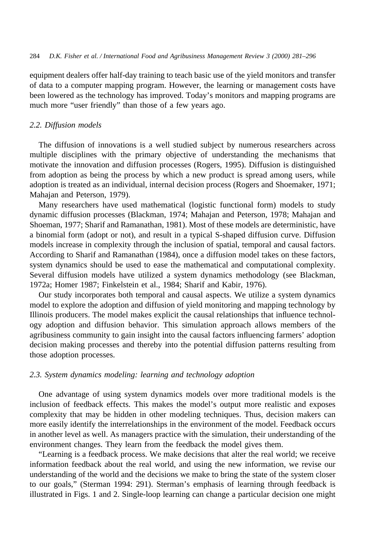equipment dealers offer half-day training to teach basic use of the yield monitors and transfer of data to a computer mapping program. However, the learning or management costs have been lowered as the technology has improved. Today's monitors and mapping programs are much more "user friendly" than those of a few years ago.

## *2.2. Diffusion models*

The diffusion of innovations is a well studied subject by numerous researchers across multiple disciplines with the primary objective of understanding the mechanisms that motivate the innovation and diffusion processes (Rogers, 1995). Diffusion is distinguished from adoption as being the process by which a new product is spread among users, while adoption is treated as an individual, internal decision process (Rogers and Shoemaker, 1971; Mahajan and Peterson, 1979).

Many researchers have used mathematical (logistic functional form) models to study dynamic diffusion processes (Blackman, 1974; Mahajan and Peterson, 1978; Mahajan and Shoeman, 1977; Sharif and Ramanathan, 1981). Most of these models are deterministic, have a binomial form (adopt or not), and result in a typical S-shaped diffusion curve. Diffusion models increase in complexity through the inclusion of spatial, temporal and causal factors. According to Sharif and Ramanathan (1984), once a diffusion model takes on these factors, system dynamics should be used to ease the mathematical and computational complexity. Several diffusion models have utilized a system dynamics methodology (see Blackman, 1972a; Homer 1987; Finkelstein et al., 1984; Sharif and Kabir, 1976).

Our study incorporates both temporal and causal aspects. We utilize a system dynamics model to explore the adoption and diffusion of yield monitoring and mapping technology by Illinois producers. The model makes explicit the causal relationships that influence technology adoption and diffusion behavior. This simulation approach allows members of the agribusiness community to gain insight into the causal factors influencing farmers' adoption decision making processes and thereby into the potential diffusion patterns resulting from those adoption processes.

# *2.3. System dynamics modeling: learning and technology adoption*

One advantage of using system dynamics models over more traditional models is the inclusion of feedback effects. This makes the model's output more realistic and exposes complexity that may be hidden in other modeling techniques. Thus, decision makers can more easily identify the interrelationships in the environment of the model. Feedback occurs in another level as well. As managers practice with the simulation, their understanding of the environment changes. They learn from the feedback the model gives them.

"Learning is a feedback process. We make decisions that alter the real world; we receive information feedback about the real world, and using the new information, we revise our understanding of the world and the decisions we make to bring the state of the system closer to our goals," (Sterman 1994: 291). Sterman's emphasis of learning through feedback is illustrated in Figs. 1 and 2. Single-loop learning can change a particular decision one might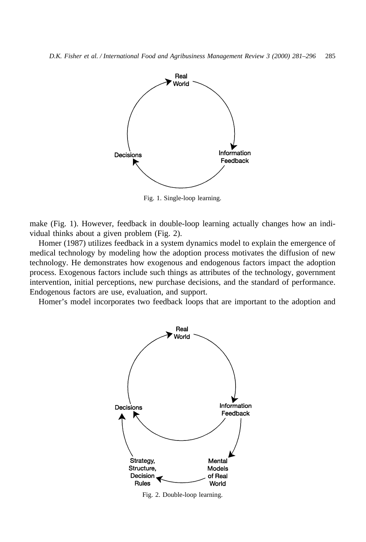

Fig. 1. Single-loop learning.

make (Fig. 1). However, feedback in double-loop learning actually changes how an individual thinks about a given problem (Fig. 2).

Homer (1987) utilizes feedback in a system dynamics model to explain the emergence of medical technology by modeling how the adoption process motivates the diffusion of new technology. He demonstrates how exogenous and endogenous factors impact the adoption process. Exogenous factors include such things as attributes of the technology, government intervention, initial perceptions, new purchase decisions, and the standard of performance. Endogenous factors are use, evaluation, and support.

Homer's model incorporates two feedback loops that are important to the adoption and



Fig. 2. Double-loop learning.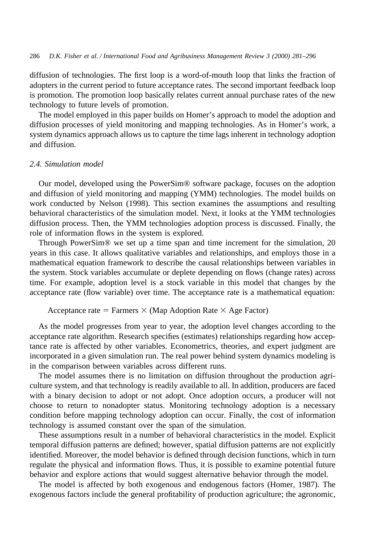diffusion of technologies. The first loop is a word-of-mouth loop that links the fraction of adopters in the current period to future acceptance rates. The second important feedback loop is promotion. The promotion loop basically relates current annual purchase rates of the new technology to future levels of promotion.

The model employed in this paper builds on Homer's approach to model the adoption and diffusion processes of yield monitoring and mapping technologies. As in Homer's work, a system dynamics approach allows us to capture the time lags inherent in technology adoption and diffusion.

## *2.4. Simulation model*

Our model, developed using the PowerSim® software package, focuses on the adoption and diffusion of yield monitoring and mapping (YMM) technologies. The model builds on work conducted by Nelson (1998). This section examines the assumptions and resulting behavioral characteristics of the simulation model. Next, it looks at the YMM technologies diffusion process. Then, the YMM technologies adoption process is discussed. Finally, the role of information flows in the system is explored.

Through PowerSim® we set up a time span and time increment for the simulation, 20 years in this case. It allows qualitative variables and relationships, and employs those in a mathematical equation framework to describe the causal relationships between variables in the system. Stock variables accumulate or deplete depending on flows (change rates) across time. For example, adoption level is a stock variable in this model that changes by the acceptance rate (flow variable) over time. The acceptance rate is a mathematical equation:

Acceptance rate = Farmers  $\times$  (Map Adoption Rate  $\times$  Age Factor)

As the model progresses from year to year, the adoption level changes according to the acceptance rate algorithm. Research specifies (estimates) relationships regarding how acceptance rate is affected by other variables. Econometrics, theories, and expert judgment are incorporated in a given simulation run. The real power behind system dynamics modeling is in the comparison between variables across different runs.

The model assumes there is no limitation on diffusion throughout the production agriculture system, and that technology is readily available to all. In addition, producers are faced with a binary decision to adopt or not adopt. Once adoption occurs, a producer will not choose to return to nonadopter status. Monitoring technology adoption is a necessary condition before mapping technology adoption can occur. Finally, the cost of information technology is assumed constant over the span of the simulation.

These assumptions result in a number of behavioral characteristics in the model. Explicit temporal diffusion patterns are defined; however, spatial diffusion patterns are not explicitly identified. Moreover, the model behavior is defined through decision functions, which in turn regulate the physical and information flows. Thus, it is possible to examine potential future behavior and explore actions that would suggest alternative behavior through the model.

The model is affected by both exogenous and endogenous factors (Homer, 1987). The exogenous factors include the general profitability of production agriculture; the agronomic,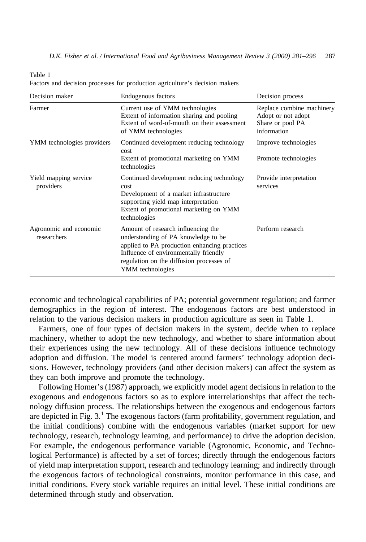|--|

| Decision maker                        | Endogenous factors                                                                                                                                                                                                                 | Decision process                                                                   |  |  |
|---------------------------------------|------------------------------------------------------------------------------------------------------------------------------------------------------------------------------------------------------------------------------------|------------------------------------------------------------------------------------|--|--|
| Farmer                                | Current use of YMM technologies<br>Extent of information sharing and pooling<br>Extent of word-of-mouth on their assessment<br>of YMM technologies                                                                                 | Replace combine machinery<br>Adopt or not adopt<br>Share or pool PA<br>information |  |  |
| YMM technologies providers            | Continued development reducing technology<br>cost<br>Extent of promotional marketing on YMM<br>technologies                                                                                                                        | Improve technologies<br>Promote technologies                                       |  |  |
| Yield mapping service<br>providers    | Continued development reducing technology<br>cost<br>Development of a market infrastructure<br>supporting yield map interpretation<br>Extent of promotional marketing on YMM<br>technologies                                       | Provide interpretation<br>services                                                 |  |  |
| Agronomic and economic<br>researchers | Amount of research influencing the<br>understanding of PA knowledge to be<br>applied to PA production enhancing practices<br>Influence of environmentally friendly<br>regulation on the diffusion processes of<br>YMM technologies |                                                                                    |  |  |

Factors and decision processes for production agriculture's decision makers

economic and technological capabilities of PA; potential government regulation; and farmer demographics in the region of interest. The endogenous factors are best understood in relation to the various decision makers in production agriculture as seen in Table 1.

Farmers, one of four types of decision makers in the system, decide when to replace machinery, whether to adopt the new technology, and whether to share information about their experiences using the new technology. All of these decisions influence technology adoption and diffusion. The model is centered around farmers' technology adoption decisions. However, technology providers (and other decision makers) can affect the system as they can both improve and promote the technology.

Following Homer's (1987) approach, we explicitly model agent decisions in relation to the exogenous and endogenous factors so as to explore interrelationships that affect the technology diffusion process. The relationships between the exogenous and endogenous factors are depicted in Fig.  $3<sup>1</sup>$ . The exogenous factors (farm profitability, government regulation, and the initial conditions) combine with the endogenous variables (market support for new technology, research, technology learning, and performance) to drive the adoption decision. For example, the endogenous performance variable (Agronomic, Economic, and Technological Performance) is affected by a set of forces; directly through the endogenous factors of yield map interpretation support, research and technology learning; and indirectly through the exogenous factors of technological constraints, monitor performance in this case, and initial conditions. Every stock variable requires an initial level. These initial conditions are determined through study and observation.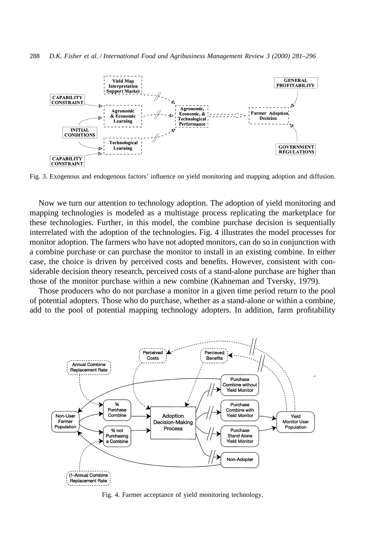

Fig. 3. Exogenous and endogenous factors' influence on yield monitoring and mapping adoption and diffusion.

Now we turn our attention to technology adoption. The adoption of yield monitoring and mapping technologies is modeled as a multistage process replicating the marketplace for these technologies. Further, in this model, the combine purchase decision is sequentially interrelated with the adoption of the technologies. Fig. 4 illustrates the model processes for monitor adoption. The farmers who have not adopted monitors, can do so in conjunction with a combine purchase or can purchase the monitor to install in an existing combine. In either case, the choice is driven by perceived costs and benefits. However, consistent with considerable decision theory research, perceived costs of a stand-alone purchase are higher than those of the monitor purchase within a new combine (Kahneman and Tversky, 1979).

Those producers who do not purchase a monitor in a given time period return to the pool of potential adopters. Those who do purchase, whether as a stand-alone or within a combine, add to the pool of potential mapping technology adopters. In addition, farm profitability



Fig. 4. Farmer acceptance of yield monitoring technology.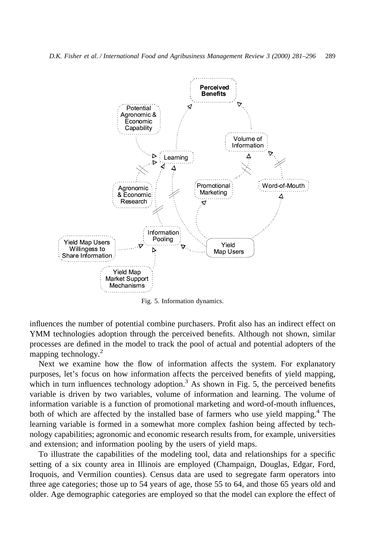

Fig. 5. Information dynamics.

influences the number of potential combine purchasers. Profit also has an indirect effect on YMM technologies adoption through the perceived benefits. Although not shown, similar processes are defined in the model to track the pool of actual and potential adopters of the mapping technology.<sup>2</sup>

Next we examine how the flow of information affects the system. For explanatory purposes, let's focus on how information affects the perceived benefits of yield mapping, which in turn influences technology adoption.<sup>3</sup> As shown in Fig. 5, the perceived benefits variable is driven by two variables, volume of information and learning. The volume of information variable is a function of promotional marketing and word-of-mouth influences, both of which are affected by the installed base of farmers who use yield mapping.<sup>4</sup> The learning variable is formed in a somewhat more complex fashion being affected by technology capabilities; agronomic and economic research results from, for example, universities and extension; and information pooling by the users of yield maps.

To illustrate the capabilities of the modeling tool, data and relationships for a specific setting of a six county area in Illinois are employed (Champaign, Douglas, Edgar, Ford, Iroquois, and Vermilion counties). Census data are used to segregate farm operators into three age categories; those up to 54 years of age, those 55 to 64, and those 65 years old and older. Age demographic categories are employed so that the model can explore the effect of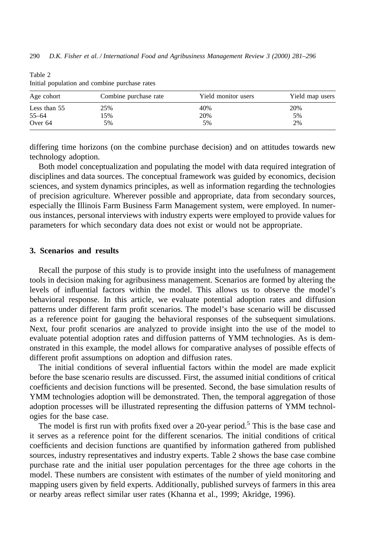| Age cohort   | Combine purchase rate | Yield monitor users | Yield map users |
|--------------|-----------------------|---------------------|-----------------|
| Less than 55 | 25%                   | 40%                 | 20%             |
| $55 - 64$    | 15%                   | 20%                 | 5%              |
| Over 64      | 5%                    | 5%                  | 2%              |

Table 2 Initial population and combine purchase rates

differing time horizons (on the combine purchase decision) and on attitudes towards new technology adoption.

Both model conceptualization and populating the model with data required integration of disciplines and data sources. The conceptual framework was guided by economics, decision sciences, and system dynamics principles, as well as information regarding the technologies of precision agriculture. Wherever possible and appropriate, data from secondary sources, especially the Illinois Farm Business Farm Management system, were employed. In numerous instances, personal interviews with industry experts were employed to provide values for parameters for which secondary data does not exist or would not be appropriate.

## **3. Scenarios and results**

Recall the purpose of this study is to provide insight into the usefulness of management tools in decision making for agribusiness management. Scenarios are formed by altering the levels of influential factors within the model. This allows us to observe the model's behavioral response. In this article, we evaluate potential adoption rates and diffusion patterns under different farm profit scenarios. The model's base scenario will be discussed as a reference point for gauging the behavioral responses of the subsequent simulations. Next, four profit scenarios are analyzed to provide insight into the use of the model to evaluate potential adoption rates and diffusion patterns of YMM technologies. As is demonstrated in this example, the model allows for comparative analyses of possible effects of different profit assumptions on adoption and diffusion rates.

The initial conditions of several influential factors within the model are made explicit before the base scenario results are discussed. First, the assumed initial conditions of critical coefficients and decision functions will be presented. Second, the base simulation results of YMM technologies adoption will be demonstrated. Then, the temporal aggregation of those adoption processes will be illustrated representing the diffusion patterns of YMM technologies for the base case.

The model is first run with profits fixed over a 20-year period.<sup>5</sup> This is the base case and it serves as a reference point for the different scenarios. The initial conditions of critical coefficients and decision functions are quantified by information gathered from published sources, industry representatives and industry experts. Table 2 shows the base case combine purchase rate and the initial user population percentages for the three age cohorts in the model. These numbers are consistent with estimates of the number of yield monitoring and mapping users given by field experts. Additionally, published surveys of farmers in this area or nearby areas reflect similar user rates (Khanna et al., 1999; Akridge, 1996).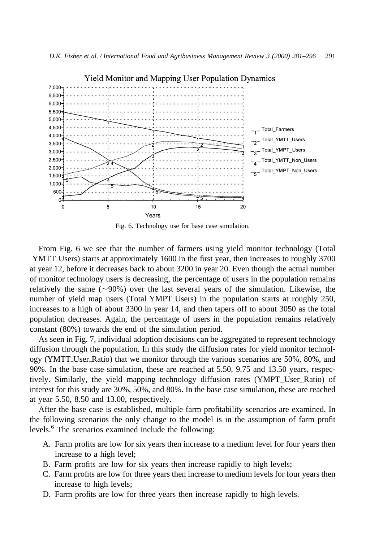

**Yield Monitor and Mapping User Population Dynamics** 

Fig. 6. Technology use for base case simulation.

From Fig. 6 we see that the number of farmers using yield monitor technology (Total YMTTUsers) starts at approximately 1600 in the first year, then increases to roughly 3700 at year 12, before it decreases back to about 3200 in year 20. Even though the actual number of monitor technology users is decreasing, the percentage of users in the population remains relatively the same  $(\sim)90\%$ ) over the last several years of the simulation. Likewise, the number of yield map users (Total\_YMPT\_Users) in the population starts at roughly 250, increases to a high of about 3300 in year 14, and then tapers off to about 3050 as the total population decreases. Again, the percentage of users in the population remains relatively constant (80%) towards the end of the simulation period.

As seen in Fig. 7, individual adoption decisions can be aggregated to represent technology diffusion through the population. In this study the diffusion rates for yield monitor technology (YMTTUserRatio) that we monitor through the various scenarios are 50%, 80%, and 90%. In the base case simulation, these are reached at 5.50, 9.75 and 13.50 years, respectively. Similarly, the yield mapping technology diffusion rates (YMPT\_User\_Ratio) of interest for this study are 30%, 50%, and 80%. In the base case simulation, these are reached at year 5.50, 8.50 and 13.00, respectively.

After the base case is established, multiple farm profitability scenarios are examined. In the following scenarios the only change to the model is in the assumption of farm profit levels.<sup>6</sup> The scenarios examined include the following:

- A. Farm profits are low for six years then increase to a medium level for four years then increase to a high level;
- B. Farm profits are low for six years then increase rapidly to high levels;
- C. Farm profits are low for three years then increase to medium levels for four years then increase to high levels;
- D. Farm profits are low for three years then increase rapidly to high levels.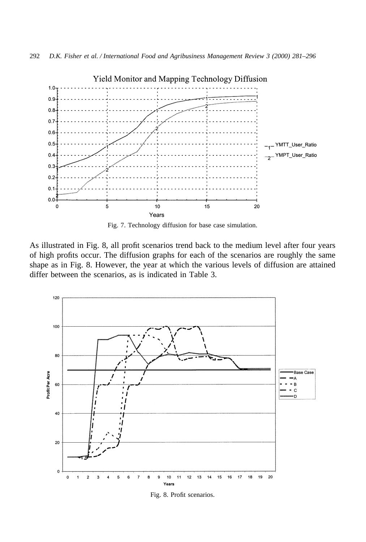

Fig. 7. Technology diffusion for base case simulation.

As illustrated in Fig. 8, all profit scenarios trend back to the medium level after four years of high profits occur. The diffusion graphs for each of the scenarios are roughly the same shape as in Fig. 8. However, the year at which the various levels of diffusion are attained differ between the scenarios, as is indicated in Table 3.



Fig. 8. Profit scenarios.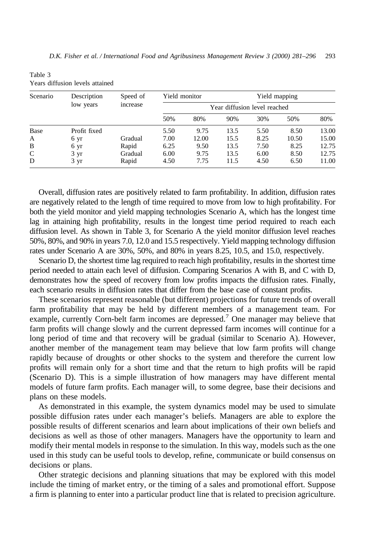| Scenario | Description    | Speed of | Yield monitor |       |                              |      | Yield mapping |       |
|----------|----------------|----------|---------------|-------|------------------------------|------|---------------|-------|
|          | low years      | increase |               |       | Year diffusion level reached |      |               |       |
|          |                |          | 50%           | 80%   | 90%                          | 30%  | 50%           | 80%   |
| Base     | Profit fixed   |          | 5.50          | 9.75  | 13.5                         | 5.50 | 8.50          | 13.00 |
| A        | 6 yr           | Gradual  | 7.00          | 12.00 | 15.5                         | 8.25 | 10.50         | 15.00 |
| B        | 6 yr           | Rapid    | 6.25          | 9.50  | 13.5                         | 7.50 | 8.25          | 12.75 |
| C        | 3 yr           | Gradual  | 6.00          | 9.75  | 13.5                         | 6.00 | 8.50          | 12.75 |
| D        | $3 \text{ yr}$ | Rapid    | 4.50          | 7.75  | 11.5                         | 4.50 | 6.50          | 11.00 |

| Table 3 |                                 |  |
|---------|---------------------------------|--|
|         | Years diffusion levels attained |  |

Overall, diffusion rates are positively related to farm profitability. In addition, diffusion rates are negatively related to the length of time required to move from low to high profitability. For both the yield monitor and yield mapping technologies Scenario A, which has the longest time lag in attaining high profitability, results in the longest time period required to reach each diffusion level. As shown in Table 3, for Scenario A the yield monitor diffusion level reaches 50%, 80%, and 90% in years 7.0, 12.0 and 15.5 respectively. Yield mapping technology diffusion rates under Scenario A are 30%, 50%, and 80% in years 8.25, 10.5, and 15.0, respectively.

Scenario D, the shortest time lag required to reach high profitability, results in the shortest time period needed to attain each level of diffusion. Comparing Scenarios A with B, and C with D, demonstrates how the speed of recovery from low profits impacts the diffusion rates. Finally, each scenario results in diffusion rates that differ from the base case of constant profits.

These scenarios represent reasonable (but different) projections for future trends of overall farm profitability that may be held by different members of a management team. For example, currently Corn-belt farm incomes are depressed.<sup>7</sup> One manager may believe that farm profits will change slowly and the current depressed farm incomes will continue for a long period of time and that recovery will be gradual (similar to Scenario A). However, another member of the management team may believe that low farm profits will change rapidly because of droughts or other shocks to the system and therefore the current low profits will remain only for a short time and that the return to high profits will be rapid (Scenario D). This is a simple illustration of how managers may have different mental models of future farm profits. Each manager will, to some degree, base their decisions and plans on these models.

As demonstrated in this example, the system dynamics model may be used to simulate possible diffusion rates under each manager's beliefs. Managers are able to explore the possible results of different scenarios and learn about implications of their own beliefs and decisions as well as those of other managers. Managers have the opportunity to learn and modify their mental models in response to the simulation. In this way, models such as the one used in this study can be useful tools to develop, refine, communicate or build consensus on decisions or plans.

Other strategic decisions and planning situations that may be explored with this model include the timing of market entry, or the timing of a sales and promotional effort. Suppose a firm is planning to enter into a particular product line that is related to precision agriculture.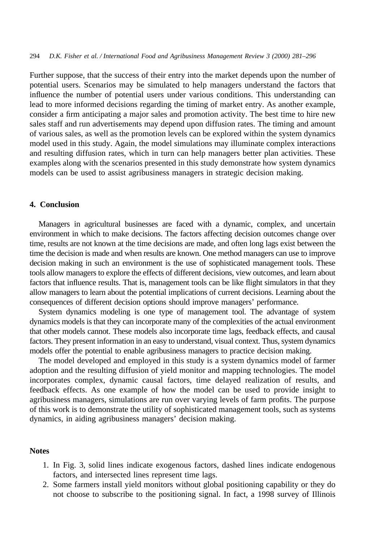Further suppose, that the success of their entry into the market depends upon the number of potential users. Scenarios may be simulated to help managers understand the factors that influence the number of potential users under various conditions. This understanding can lead to more informed decisions regarding the timing of market entry. As another example, consider a firm anticipating a major sales and promotion activity. The best time to hire new sales staff and run advertisements may depend upon diffusion rates. The timing and amount of various sales, as well as the promotion levels can be explored within the system dynamics model used in this study. Again, the model simulations may illuminate complex interactions and resulting diffusion rates, which in turn can help managers better plan activities. These examples along with the scenarios presented in this study demonstrate how system dynamics models can be used to assist agribusiness managers in strategic decision making.

# **4. Conclusion**

Managers in agricultural businesses are faced with a dynamic, complex, and uncertain environment in which to make decisions. The factors affecting decision outcomes change over time, results are not known at the time decisions are made, and often long lags exist between the time the decision is made and when results are known. One method managers can use to improve decision making in such an environment is the use of sophisticated management tools. These tools allow managers to explore the effects of different decisions, view outcomes, and learn about factors that influence results. That is, management tools can be like flight simulators in that they allow managers to learn about the potential implications of current decisions. Learning about the consequences of different decision options should improve managers' performance.

System dynamics modeling is one type of management tool. The advantage of system dynamics models is that they can incorporate many of the complexities of the actual environment that other models cannot. These models also incorporate time lags, feedback effects, and causal factors. They present information in an easy to understand, visual context. Thus, system dynamics models offer the potential to enable agribusiness managers to practice decision making.

The model developed and employed in this study is a system dynamics model of farmer adoption and the resulting diffusion of yield monitor and mapping technologies. The model incorporates complex, dynamic causal factors, time delayed realization of results, and feedback effects. As one example of how the model can be used to provide insight to agribusiness managers, simulations are run over varying levels of farm profits. The purpose of this work is to demonstrate the utility of sophisticated management tools, such as systems dynamics, in aiding agribusiness managers' decision making.

# **Notes**

- 1. In Fig. 3, solid lines indicate exogenous factors, dashed lines indicate endogenous factors, and intersected lines represent time lags.
- 2. Some farmers install yield monitors without global positioning capability or they do not choose to subscribe to the positioning signal. In fact, a 1998 survey of Illinois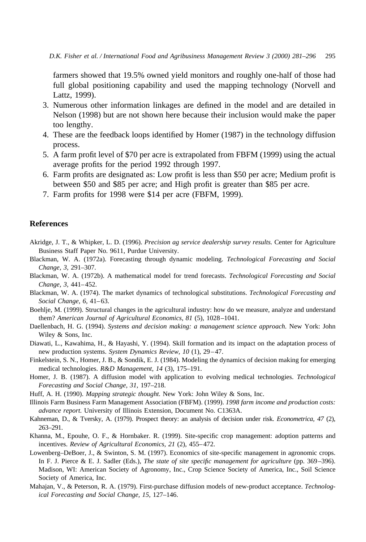farmers showed that 19.5% owned yield monitors and roughly one-half of those had full global positioning capability and used the mapping technology (Norvell and Lattz, 1999).

- 3. Numerous other information linkages are defined in the model and are detailed in Nelson (1998) but are not shown here because their inclusion would make the paper too lengthy.
- 4. These are the feedback loops identified by Homer (1987) in the technology diffusion process.
- 5. A farm profit level of \$70 per acre is extrapolated from FBFM (1999) using the actual average profits for the period 1992 through 1997.
- 6. Farm profits are designated as: Low profit is less than \$50 per acre; Medium profit is between \$50 and \$85 per acre; and High profit is greater than \$85 per acre.
- 7. Farm profits for 1998 were \$14 per acre (FBFM, 1999).

# **References**

- Akridge, J. T., & Whipker, L. D. (1996). *Precision ag service dealership survey results.* Center for Agriculture Business Staff Paper No. 9611, Purdue University.
- Blackman, W. A. (1972a). Forecasting through dynamic modeling. *Technological Forecasting and Social Change, 3,* 291–307.
- Blackman, W. A. (1972b). A mathematical model for trend forecasts. *Technological Forecasting and Social Change, 3,* 441–452.
- Blackman, W. A. (1974). The market dynamics of technological substitutions. *Technological Forecasting and Social Change, 6,* 41–63.
- Boehlje, M. (1999). Structural changes in the agricultural industry: how do we measure, analyze and understand them? *American Journal of Agricultural Economics, 81* (5), 1028–1041.
- Daellenbach, H. G. (1994). *Systems and decision making: a management science approach.* New York: John Wiley & Sons, Inc.
- Diawati, L., Kawahima, H., & Hayashi, Y. (1994). Skill formation and its impact on the adaptation process of new production systems. *System Dynamics Review, 10* (1)*,* 29–47.
- Finkelstein, S. N., Homer, J. B., & Sondik, E. J. (1984). Modeling the dynamics of decision making for emerging medical technologies. *R&D Management, 14* (3), 175–191.
- Homer, J. B. (1987). A diffusion model with application to evolving medical technologies. *Technological Forecasting and Social Change, 31,* 197–218.
- Huff, A. H. (1990). *Mapping strategic thought.* New York: John Wiley & Sons, Inc.
- Illinois Farm Business Farm Management Association (FBFM). (1999). *1998 farm income and production costs: advance report.* University of Illinois Extension, Document No. C1363A.
- Kahneman, D., & Tversky, A. (1979). Prospect theory: an analysis of decision under risk. *Econometrica, 47* (2), 263–291.
- Khanna, M., Epouhe, O. F., & Hornbaker. R. (1999). Site-specific crop management: adoption patterns and incentives. *Review of Agricultural Economics, 21* (2), 455–472.
- Lowenberg–DeBoer, J., & Swinton, S. M. (1997). Economics of site-specific management in agronomic crops. In F. J. Pierce & E. J. Sadler (Eds.), *The state of site specific management for agriculture* (pp. 369–396). Madison, WI: American Society of Agronomy, Inc., Crop Science Society of America, Inc., Soil Science Society of America, Inc.
- Mahajan, V., & Peterson, R. A. (1979). First-purchase diffusion models of new-product acceptance. *Technological Forecasting and Social Change, 15,* 127–146.